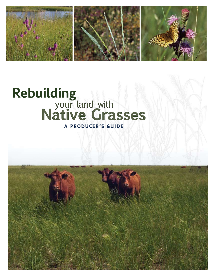

# Rebuilding<br>
your land with<br>
Native Grasses A PRODUCER'S GUIDE

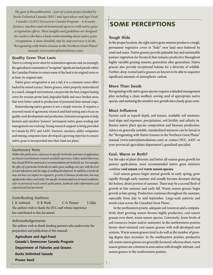*The goal of this publication – part of a joint project funded by Ducks Unlimited Canada (DUC) and Agriculture and Agri-Food Canada's (AAFC) Greencover Canada Program – is to assist farmers, ranchers and environmental agencies with native grass revegetation efforts. These insights and guidelines are designed for readers who have a basic understanding about native grass revegetation. A more detailed, step-by-step overview is in the "Revegetating with Native Grasses in the Northern Great Plains" manual. (www.nativeplantsolutions.com)*

#### **Quality Cover That Lasts**

There is a strong move afoot by reclamation agencies and, increasingly, the agricultural community to "revegetate" significant land parcels within the Canadian Prairies to return some of the land to its original roots or, at least, its original state.

Native grass revegetation is not a fad, it is a common-sense effort backed by sound science. Native grasses, when properly reintroduced to a much-changed environment, can provide the best, longest lasting cover for erosion-prone land, degraded fields and once-broken areas that were better suited to production of perennial than annual crops.

Reintroducing native grasses is not a simple exercise. It requires a renewed round of agronomic research and field testing and a focus on quality seed development and production. Extension programs to help farmers and ranchers "pioneer" permanent native grass seeding and management are evolving. Strong research support is being provided in Canada by DUC and AAFC. Farmers, ranchers, utility companies and mining companies have developed a growing expertise to ensure native grass is incorporated into their land use plans.

#### **Cautionary Note**

*Within this publication, references to specific herbicides and rates of application are based on preliminary research and field experience. Unless stated otherwise, they should NOT be construed as recommendations for herbicide use. For example, the effect of a particular herbicide on native grass seedlings can vary with the level of weed infestation and the stage of seedling development. In addition, a herbicide may not have an impact on vegetative growth or biomass production, but may significantly reduce seed yields. For specific recommendations for local conditions, refer to provincial weed control publications, herbicide label information and experienced local personnel.*

#### **Contributing Authors:**

L. K. Gabruch D. B. Wark C. G. Penner J. Giles The authors wish to thank the DUC staff whose experience has contributed to this document.

#### **Acknowledgements**

The authors wish to thank funding partners who underwrote the preparation and publication of this manual.

**Agriculture and Agri-Food Canada's Greencover Canada Program Department of Fisheries and Oceans**

**Ducks Unlimited Canada**

**Proven Seed**

# SOME PERCEPTIONS

#### **Tough Hide**

In the proper location, the right native grass mixture produces a tough, permanent vegetative cover or "hide" over land once battered by wind and water. Native grasses provide palatable hay and sustainable pasture vegetation for livestock that remains productive throughout highly variable grazing seasons, generation after generation. Native grasses also provide exceptional habitat for a diversity of wildlife. Further, deep-rooted native grasses are known to be able to sequester significant amounts of atmospheric carbon.

#### **More Than Seeds**

Revegetating with native grass species requires a detailed management plan including a clean seedbed, sowing seed of appropriate native species, and nurturing the sensitive new growth into a hardy grass cover.

#### **Most Influence**

Factors such as topsoil depth, soil texture, available soil moisture, land slope and exposure, precipitation, soil fertility and salinity influence native plant species composition and biomass production. Advice on generally suitable, standardized mixtures can be found in the "Revegetating with Native Grasses in the Northern Great Plains" manual (www.nativeplantsolutions.com) or contact DUC, AAFC or your provincial agriculture department's grassland specialist.

#### **Cool, Warm or Both?**

For the sake of plant diversity and better all-season grass growth for pasture applications, most recommended native grass mixtures combine **cool season** and **warm season species**.

Cool season grasses begin annual growth in early spring, grow rapidly through early summer and usually become dormant during the hottest, driest portion of summer. There may be a second flush of growth in late summer and early fall. Warm season grasses begin growth in late spring. Production continues throughout the summer, especially from July to mid-September. Large-scale patterns and trends exist across the Canadian Great Plains.

In the northeastern prairie, adequate soil resources and a comparatively short growing season favours highly productive, cool season grasses over short, warm season species. Conversely, lower levels of soil resources (water and/or nutrients) in the northwestern prairies favour short-statured cool season grasses with well developed root systems. Warm season grasses tend to do well as the number of growing degree days increases. In the southeastern prairies, productive tall, warm season grasses are generally favoured, whereas short, warm season grasses are common in association with drought-tolerant, cool season grasses in the southwestern prairies.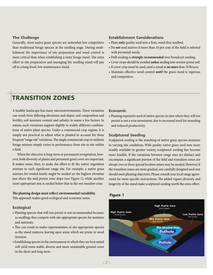#### **The Challenge**

Generally, most native grass species are somewhat less competitive than traditional forage species at the seedling stage. During establishment the importance of site preparation and weed control is more critical than when establishing a tame forage stand. The extra effort in site preparation and managing the seedling stand will pay off in a long-lived, low maintenance stand.

#### **Establishment Considerations**

- Plant *only* quality seed into a firm, weed-free seedbed.
- Do *not* seed natives if more than 10 per cent of the field is infested with perennial weeds.
- Drill seeding is *strongly recommended* over broadcast seeding.
- Cover crops should be avoided *unless* seeding into erosion-prone soil.
- If cover crop must be used, seed a cereal at *no more* than 10 lb/acre.
- Maintain effective weed control *until* the grass stand is vigorous and competitive.

## Transition Zones

A healthy landscape has many microenvironments. These variations can result from differing elevations and slopes, soil composition and fertility, soil moisture content and salinity, to name a few factors. In nature, such variations support slightly to widely different combinations of native plant species. Under a commercial crop regime, it is simply not practical to adjust what is planted to account for these frequent "range site" variations. The single commercial crop or uniform forage mixture simply varies in performance from site to site within a field.

When the objective is long-term or permanent revegetation, however, both diversity of plants and persistent good cover are important. It makes sense, then, to make the effort to fit the native vegetation mixture to each significant range site. For example, a native grass mixture for eroded knolls might be seeded on the highest elevation just above the mid prairie zone slope (see Figure 1), while another, more appropriate mix is seeded below that in the wet meadow zone.

#### **The planting design must reflect environmental variability.**

This approach makes good ecological and economic sense.

#### **Ecological**

- Planting species that will not persist is not recommended because, as seedlings they compete with site-appropriate species for moisture and nutrients.
- This can result in under-representation of site-appropriate species as the stand matures, leaving open areas which are prone to weed invasion.
- Establishing species in the environment to which they are best suited will yield more stable, diverse and more sustainable ground cover in the short and long term.

#### **Economic**

• Planting expensive seed of native species in sites where they will not persist is not a wise investment, due to increased need for reseeding and reduced productivity.

#### **Sculptured Seeding**

Sculptured seeding is the matching of native grass species mixtures to varying site conditions. With quality native grass seed now more readily available in greater variety, sculptured seeding has become more feasible. If the variations between range sites are distinct and encompass a significant portion of the field and transition zones are abrupt, two or three special location mixes may be needed. However, if the transition zones are more gradual, one carefully designed seed mix should meet planting objectives. Please consult your local range agronomist for more specific instructions. The added vigour, diversity and longevity of the stand make sculptured seeding worth the extra effort.

#### **Figure 1**

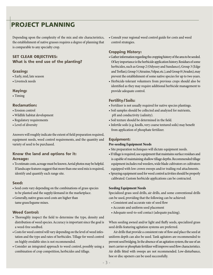# PROJECT PLANNING

Depending upon the complexity of the mix and site characteristics, the establishment of native grasses requires a degree of planning that is comparable to any specialty crop.

#### **SET CLEAR OBJECTIVES: What is the end use of the planting?**

#### **Grazing:**

- Early, mid, late season
- Livestock needs

#### **Haying:**

• Timing

#### **Reclamation:**

- Erosion control
- Wildlife habitat development
- Regulatory requirements
- Level of diversity

Answers will roughly indicate the extent of field preparation required, equipment needs, weed control requirements, and the quantity and variety of seed to be purchased.

#### **Know the land and options for it: Acreage:**

• To estimate costs, acreage must be known. Aerial photos may be helpful. If landscape features suggest that more than one seed mix is required, identify and quantify each range site.

#### **Seed:**

- Seed costs vary depending on the combinations of grass species to be planted and the supply/demand in the marketplace.
- Generally, native grass seed costs are higher than tame grass/legume mixes.

#### **Weed Control:**

- Thoroughly inspect the field to determine the type, density and distribution of weed species. Accuracy is important since the goal is a weed-free seedbed.
- Costs for weed control will vary depending on the level of weed infestation and the type and rates of herbicides. Tillage for weed control on highly erodable sites is not recommended.
- Consider an integrated approach to weed control, possibly using a combination of crop competition, herbicides and tillage.

• Consult your regional weed control guide for costs and weed control strategies.

#### **Cropping History:**

- Gather information regarding the cropping history of the area to be seeded. Of key importance is the herbicide application history. Residues of some herbicides, such as Group 2 (Odyssey and Sundance), Group 3 (Edge and Treflan), Group 5 (Atrazine, Velpar, etc.), and Group 8 (Avadex), may prevent the establishment of some native species for up to two years.
- Herbicide-tolerant volunteers from previous crops should also be identified as they may require additional herbicide management to provide adequate control.

#### **Fertility/Soils:**

- Fertilizer is not usually required for native species plantings.
- Soil samples should be collected and analyzed for nutrients, pH and conductivity (salinity).
- Soil texture should be determined in the field.
- Infertile soils (e.g. knolls, very coarse textured soils) may benefit from application of phosphate fertilizer.

#### **Equipment:**

#### **Pre-seeding Equipment Needs**

- Site preparation techniques will dictate equipment needs.
- If tillage is required, use equipment that maintains surface residues and is capable of maintaining shallow tillage depths. Recommended tillage equipment includes rod weeders, wide blade cultivators or cultivators equipped with low crown sweeps and/or trailing rod attachments.
- Spraying equipment used for weed control activities should be properly calibrated. Custom herbicide applications can be contracted.

#### **Seeding Equipment Needs**

Specialized grass seed drills, air drills, and some conventional drills can be used, providing that the following can be achieved:

- Consistent and accurate rate of seed flow
- Accurate and uniform seed placement
- Adequate seed-to-soil contact (adequate packing).

When seeding awned and/or light and fluffy seeds, specialized grass seed drills featuring agitation systems are preferred.

Air drills that provide a consistent rate of flow and place the seed at uniform depth can also be used. Tank agitators are recommended to prevent seed bridging. In the absence of an agitation system, the use of an inert carrier or phosphate fertilizer will improve seed flow characteristics. Air drills fitted with sweeps are not recommended. Low-disturbance, hoe or disc openers can be used successfully.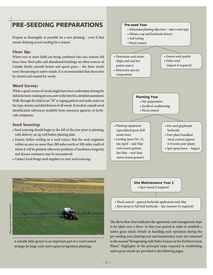# PRE-SEEDING PREPARATIONS

Prepare as thoroughly as possible for a new planting – even if that means delaying actual seeding for a season.

#### **Clean Up:**

Where two or more fields are being combined into one, remove old fence lines. Rock piles and abandoned buildings are often sources of Canada thistle, smooth brome and quack grass – the three weeds most threatening to native stands. It is recommended that these sites be cleared and treated for weeds.

#### **Weed Survey:**

While a quick census of weeds might have been undertaken during the initial decision-making process, now is the time for a detailed assessment. Walk through the field in an "M" or zigzag pattern and make notes on the type, density and distribution of all weeds. If needed, consult weed identification references available from extension agencies or herbicide companies.

#### **Seed Sourcing:**

- Seed sourcing should begin in the fall of the year prior to planting, with delivery set up well before planting date.
- Ensure, before settling on a seed source, that the seed originates within an area no more than 200 miles north or 300 miles south of where it will be planted; otherwise problems of hardiness, longevity and disease resistance may be encountered.
- Contact local forage seed suppliers to start seed sourcing.



A suitable field sprayer is an important part of a weed control strategy for large-scale native grass revegetation plantings.



#### **Site Maintenance Year 2**

• Spot reseed if required

- Weed control general herbicide application mid-May
- Spot spray/or full field herbicide late summer (if required)

The above flow chart indicates the agronomic and management steps to be taken over a three- to four-year period in order to establish a native grass stand. Details in handling each operation during the pre-seeding year, planting year and maintenance years are contained in the manual "Revegetating with Native Grasses in the Northern Great Plains". Highlights of the principal steps required in establishing native grass stands are provided in the following pages.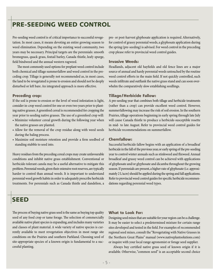## PRE-SEEDING WEED CONTROL

Pre-seeding weed control is of critical importance to successful revegetation. In most cases, it means devoting an entire growing season to weed elimination. Depending on the existing weed community, two years may be necessary. Principal targets are the perennials: smooth bromegrass, quack grass, foxtail barley, Canada thistle, leafy spurge, field bindweed and the annual western ragweed.

The most commonly used options for preplant weed control include both chemical and tillage summerfallow and weed control in the preceding crop. Tillage is generally not recommended as, in most cases, the land to be revegetated is prone to erosion and should not be deeply disturbed or left bare. An integrated approach is more effective.

#### **Preceding crop:**

If the soil is prone to erosion or the level of weed infestation is light, consider in-crop weed control for one or even two years prior to planting native grasses. A greenfeed cereal is recommended for cropping the year prior to seeding native grasses. The use of a greenfeed crop will:

- Minimize volunteer cereal growth during the following year when the native grasses are planted.
- Allow for the removal of the crop residue along with weed seeds during the baling process.
- Maximize soil moisture retention and provide a firm seedbed of standing stubble to seed into.

Heavy residues from the preceding cereal crops may create unfavourable conditions and inhibit native grass establishment. Conventional or herbicide-tolerant canola may be a useful alternative to mitigate this problem. Perennial weeds, given their extensive root reserves, are typically harder to control than annual weeds. It is important to understand perennial weed growth habits in order to adequately prescribe herbicide treatments. For perennials such as Canada thistle and dandelion, a pre- or post-harvest glyphosate application is required. Alternatively, for control of grassy perennial weeds, a glyphosate application during the spring (pre-seeding) is advised. For weed control in the preceding crop please refer to provincial weed control guides.

#### **Invasive Weeds:**

Headlands, adjacent old hayfields and old fence lines are a major source of annual and hardy perennial weeds untouched by the routine weed control efforts in the main field. If not quickly controlled, such weeds infiltrate and outflank the native grass stand and can soon overwhelm the comparatively slow establishing seedlings.

#### **Tillage/Herbicide Fallow:**

A pre-seeding year that combines both tillage and herbicide treatments (rather than a crop) can provide excellent weed control. However, summerfallowing may increase the risk of soil erosion. In the southern Prairies, tillage operations beginning in early spring through late July will cause Canada thistle to produce a herbicide-susceptible rosette in mid- to late August. Refer to provincial weed control guides for herbicide recommendations on summerfallow.

#### **Chemfallow:**

Successful herbicide fallow begins with an application of a broadleaf herbicide in the fall of the previous year, or early spring of the pre-seeding year to control winter annuals such as stinkweed and flixweed. Annual broadleaf and grassy weed control can be achieved with applications of glyphosate and/or glyphosate and dicamba throughout the growing season. If perennials are present, a higher rate of glyphosate (i.e. approximately 2 L/acre) should be applied during the spring and fall applications. Refer to provincial weed control guides for specific herbicide recommendations regarding perennial weed types.

## SEED

The process of buying native grass seed is the same as buying top quality seed of any food crop or tame forage. The selection of commercially available native plant species is expanding, and includes many varieties and classes of plant material. A wide variety of native species is currently available to meet revegetation objectives in most range site conditions on the Prairies and southern Parkland. Choosing seed of site-appropriate species of a known origin is fundamental to a successful planting.

#### **What to Look For:**

Designing seed mixes that are suitable for your region can be a challenge. It may be easier to select a predetermined mixture for certain range sites developed and tested in the field. For examples of recommended regional seed mixes, consult the "Revegetating with Native Grasses in the Northern Great Plains" manual (www.nativeplantsolutions.com) or inquire with your local range agronomist or forage seed supplier.

Always buy certified native grass seed of known origin if it is available. Otherwise, "common seed" is an acceptable second choice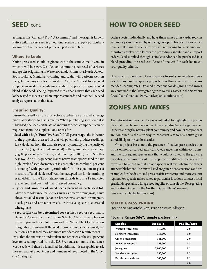## SEED cont.

# How to Order Seed

as long as it is "Canada #1" or "U.S. common" and the origin is known. Native wild harvest seed is an optional source of supply, particularly for some of the species not yet developed as varieties.

#### **Where to Look:**

Native grass seed should originate within the same climatic zone in which it will be sown. Certified and common stock seed of varieties and species originating in Western Canada, Minnesota, North Dakota, South Dakota, Montana, Wyoming and Idaho will perform well on revegetation project sites in Western Canada. Several forage seed suppliers in Western Canada may be able to supply the required seed blend. If the seed is being imported into Canada, insist that each seed lot be tested to meet Canadian import standards and that the U.S. seed analysis report states that fact.

#### **Ensuring Quality:**

Ensure that seedlots from prospective suppliers are analyzed at recognized laboratories to assess quality. When purchasing seed, even if it is blended, the seed certificate of analysis for each component can be requested from the supplier. Look or ask for:

- **Seed with a high "Pure Live Seed" (PLS) percentage**–the indicator of the proportion of a seed lot that will potentially produce seedlings. It is calculated, from the analysis report, by multiplying the purity of the seed lot (e.g. 98 per cent pure seed) by the germination percentage (e.g. 89 per cent germination) and dividing by 100. (The PLS in this case would be 87.22 per cent.) Since native grass species tend to have high levels of seed dormancy, it is acceptable to combine "per cent dormancy" with "per cent germination" in the equation to get a measure of "total viable seed". Another accepted test for determining seed viability is the TZ or tetrazolium chloride test. The TZ indicates viable seed, and does not measure seed dormancy.
- **Types and amounts of weed seeds present in each seed lot.** Allow zero tolerance for species such as downy bromegrass, hairy chess, rattailed fescue, Japanese bromegrass, smooth bromegrass, quack grass and any other weeds or invasive species (i.e. crested wheatgrass).
- **Seed origin can be determined** for certified seed or seed that is classed as 'Source Identified' (SI) or 'Selected Class'. The supplier can provide you with seed lot origin and the Native Plant Certification designation, if known. If the seed origin cannot be determined, use caution, as that seed may not meet site adaptation requirements.

Insist that the analysis be undertaken and reported at the 0.01 per cent level for seed imported from the U.S. Even trace amounts of nuisance weed seeds will then be identified. In addition, it is acceptable to ask the seed analyst about types and numbers of seeds noted in the "other crop" category.

Order species individually and have them mixed afterwards. You can savemoney can be saved by ordering on a pure live seed basis rather than a bulk basis. This ensures you are not paying for inert material. A customs broker who knows the procedures should handle import orders. Seed supplied through a single vendor can be purchased in a blend providing the seed certificate of analysis for each lot meets your quality criteria.

How much to purchase of each species to suit your needs requires calculations based on species proportions within a mix and the recommended seeding rates. Detailed directions for designing seed mixes are contained in the "Revegetating with Native Grasses in the Northern Great Plains" manual. (www.nativeplantsolutions.com)

## ZONES AND MIXES

The information provided below is intended to highlight the principles that must be understood in the revegetative/mix design process. Understanding the natural plant community and how its components are combined is the sure way to construct a vigorous native grass stand, likely to thrive for decades.

On a project basis, note the presence of native grass species that thrive on non-disturbed, non-cultivated range sites within each zone, and the subsequent species mix that would be suited to the growing conditions that now prevail. The proportion of different species in the mixes are balanced so that no one species will overwhelm the others after establishment. The mixes listed are generic constructions and are examples for the dry mixed grass prairie (western) and more eastern regions. For specific mixes suited to particular locations contact a local grasslands specialist, a forage seed supplier or consult the "Revegetating with Native Grasses in the Northern Great Plains" manual. (www.nativeplantsolutions.com)

#### **Mixed Grass Prairie**

(southern Saskatchewan/southeastern Alberta)

#### **"Loamy Range Site", simple pasture mix:**

| <b>Species</b>        | Seeds/lb. | PLS lb./acre |
|-----------------------|-----------|--------------|
| Western wheatgrass    | 110,000   | 2.0          |
| Northern wheatgrass   | 154,000   | 1.0          |
| Green needlegrass     | 181,000   | 2.0          |
| Awned wheatgrass      | 138,000   | 1.3          |
| June grass            | 2,000,000 | 0.1          |
| Slender wheatgrass    | 135,000   | 0.3          |
| Purple prairie clover | 300,000   | 0.1          |
|                       |           | 6.8          |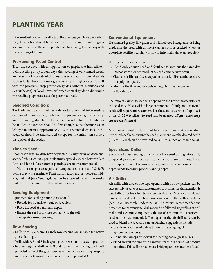# PLANTING YEAR

If the seedbed preparation efforts of the previous year have been effective, the seedbed should be almost ready to receive the native grass seed in the spring. The next operational phase can get underway with the warming of the soil.

#### **Pre-seeding Weed Control**

Treat the seedbed with an application of glyphosate immediately before seeding or up to four days after seeding. If only annual weeds are present, a lower rate of glyphosate is acceptable. Perennial weeds such as foxtail barley or quack grass will require higher rates. Consult with the provincial crop protection guides (Alberta, Manitoba and Saskatchewan) or local provincial weed control guide to determine pre-seeding glyphosate rates for perennial weeds.

#### **Seedbed Condition:**

The land should be firm and free of debris to accommodate the seeding equipment. In most cases, a site that was previously a greenfeed crop and in standing stubble will be firm and residue-free. If the site has been tilled, the seedbed should be firm enough so that the impression left by a footprint is approximately  $1\frac{1}{8}$  to  $1\frac{1}{4}$  inch deep. Ideally the seedbed should be undisturbed except for the minimum surface disruption of the seeder.

#### **Time to Seed:**

Cool season grass mixtures can be planted in early spring or "dormantseeded" after Oct. 20. Spring plantings typically occur between late April and June 1. Late summer plantings are not recommended.

Warm season grasses require soil temperatures of at least 10 C (50 F) before they will germinate. Plant warm season grasses between mid-May and mid-June. Seeding dates may be extended two or three weeks past the normal range if soil moisture is ample.

#### **Seeding Equipment:**

Equipment for seeding native grass should:

- Provide for a consistent rate of seed flow
- Place the seed at a uniform depth
- Ensure the seed is in close contact with the soil (adequate on-row packing).

#### **Row Spacing**

- Drills with 6, 7, 8 and 10 inch row spacing are suitable for native grass plantings.
- Drills with 6, 7 and 8 inch spacing work well in the eastern prairies.
- In drier regions, drills with 8 and 10 inch row spacing work well provided some of the grass species in the mix have strong creeping root systems. (Consult the list of seed mixes provided.)

#### **Conventional Equipment**

If a standard gravity-flow grain drill without seed box agitators is being used, mix the seed with an inert carrier such as cracked wheat or phosphate fertilizer carrier which will help maintain even seed flow.

If using fertilizer as a carrier:

- Blend only enough seed and fertilizer to seed out the same day. Do not store blended product as seed damage may occur.
- Clean the drill box and seed cups after use, as fertilizer can be corrosive to equipment parts.
- Monitor the flow and use only enough fertilizer to create a flowable blend.

The ratio of carrier to seed will depend on the flow characteristics of the seed mix. Mixes with a large component of fluffy and/or awned seeds will require more carriers. For these mixes, a ratio of up to 8:1 of an 11-52-0 fertilizer to seed has been used. *Higher rates may cause seed damage!*

Most conventional drills do not have depth bands. When seeding into tilled seedbeds, ensure the seed placement is at the desired depth (1  $\frac{1}{4}$  to 1  $\frac{1}{2}$  inch on fine textured soils;  $\frac{1}{2}$  to  $\frac{3}{4}$  inch on coarse soils).

#### **Specialized Drills:**

Specialized grass seeding drills usually have seed box agitators and/ or specially designed seed cups to help ensure uniform flow. These drills typically do not require a carrier, and usually are designed with depth bands to ensure proper planting depth.

#### **Air Drills:**

Air drills with disc or hoe type openers with on-row packers can be successfully used to seed native grasses providing careful attention is paid to the three basic functions mentioned earlier. Most air drills do not have a seed tank agitator. These tanks can be retrofitted with an agitator (see PAMI Research Update #733). The carrier recommendations presented for conventional drills should be followed. Regardless of drill make and seed mix components, the use of a minimum 1:1 carrier to seed ratio is recommended. The auger on the air drill tank can be used to blend the seed and carrier. Further suggestions include:

- Use clean seed free of debris to minimize plugging of system components.
- Do not use sweeps or shovels for seeding native grass mixes.
- Blend and fill the tank with a maximum of 200 pounds of product at a time. This will help alleviate bridging and separation of seed.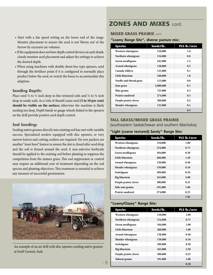- Start with a fan speed setting on the lower end of the range. Monitor placement to ensure the seed is not 'blown out' of the furrow by excessive air volumes.
- If the equipment does not have depth control devices on each shank, closely monitor seed placement and adjust the settings to achieve the desired depth.
- When using machines with double shoot hoe type openers, seed through the fertilizer point if it is configured to normally place product below the seed, or switch the hoses to accommodate this adaption.

#### **Seeding Depth:**

Place seed  $\frac{1}{4}$  to  $\frac{1}{2}$  inch deep in fine textured soils and  $\frac{1}{2}$  to  $\frac{3}{4}$  inch deep in sandy soils. As a 'rule of thumb', some seed **(5 to 10 per cent) should be visible on the surface;** otherwise the machine is likely seeding too deep. Depth bands or gauge wheels linked to the openers on the drill provide positive seed depth control.

#### **Sod Seeding:**

Seeding native grasses directly into existing sod has met with variable success. Specialized seeders equipped with disc openers, or very narrow knives and cutting coulters are required. On-row packers are another "must have" feature to ensure the slot is closed after seed drop and the soil is firmed around the seed. A non-selective herbicide should be applied to the existing sod before planting to suppress the competition from the mature grass. This sod suppression or control may require an additional year of treatment depending on the sod species and planting objectives. This treatment is essential to achieve any measure of successful germination.



An example of an air drill with disc openers seeding native grasses at Swift Current, Sask.

## ZONES AND MIXES cont.

#### **Mixed Grass Prairie** cont.

#### **"Loamy Range Site", diverse pasture mix:**

| <b>Species</b>            | Seeds/lb. | PLS lb./acre |
|---------------------------|-----------|--------------|
| Western wheatgrass        | 110,000   | 1.0          |
| Northern wheatgrass       | 154,000   | 0.8          |
| Green needlegrass         | 181,000   | 1.5          |
| Awned wheatgrass          | 138,000   | 0.5          |
| Canada wildrye            | 121,000   | 0.1          |
| Little bluestem           | 240,000   | 1.0          |
| Needle-and-thread grass   | 115,000   | 0.8          |
| June grass                | 2,000,000 | 0.1          |
| Blue grama                | 725,000   | 0.3          |
| Prairie sandreed          | 274,000   | 0.3          |
| Purple prairie clover     | 300,000   | 0.2          |
| <b>Slender wheatgrass</b> | 135,000   | 0.1          |
|                           |           | 6.5          |

### **Tall grass/Mixed Grass Prairie**

(southeastern Saskatchewan and southern Manitoba)

#### **"Light (coarse textured) Sandy" Range Site:**

| <b>Species</b>        | Seeds/lb. | PLS lb./acre |
|-----------------------|-----------|--------------|
| Western wheatgrass    | 110,000   | 1.00         |
| Northern wheatgrass   | 154,000   | 0.75         |
| Green needlegrass     | 184,000   | 0.50         |
| Little bluestem       | 260,000   | 1.20         |
| Awned wheatgrass      | 138,000   | 0.40         |
| Slender wheatgrass    | 159,000   | 0.10         |
| Switchgrass           | 389,000   | 0.50         |
| <b>Big bluestem</b>   | 165,000   | 2.00         |
| Purple prairie clover | 300,000   | 0.25         |
| Side-oats grama       | 191,000   | 1.00         |
| Prairie sandreed      | 274,000   | 0.25         |
|                       |           | 7.95         |

#### **"Loamy/Clayey" Range Site:**

| <b>Species</b>            | Seeds/lb. | PLS lb./acre |
|---------------------------|-----------|--------------|
| <b>Western wheatgrass</b> | 110,000   | 1.00         |
| Northern wheatgrass       | 154,000   | 0.75         |
| Green needlegrass         | 184,000   | 1.00         |
| Little bluestem           | 260,000   | 1.00         |
| Awned wheatgrass          | 138,000   | 0.40         |
| Slender wheatgrass        | 159,000   | 0.10         |
| Switchgrass               | 389,000   | 0.50         |
| <b>Big bluestem</b>       | 165,000   | 2.50         |
| Purple prairie clover     | 300,000   | 0.25         |
| Sideoat grama             | 191,000   | 1.00         |
|                           |           | 8.50         |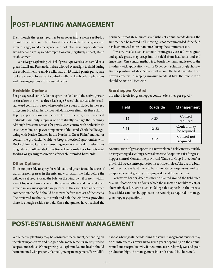# POST-PLANTING MANAGEMENT

Even though the grass seed has been sown into a clean seedbed, a monitoring plan should be followed to check on plant emergence and growth stage, weed emergence, and potential grasshopper damage. Broadleaf and grassy weed competition can (negatively impact) stand establishment.

 A native grass planting will fail if grass-type weeds such as wild oats, green foxtail and Persian darnel are allowed even a light toehold during the establishment year. Five wild oats or 15 foxtail plants per square foot are enough to warrant control methods. Herbicide applications and mowing options are discussed below.

#### **Herbicide Options:**

For grassy weed control, do not spray the field until the native grasses are in at least the two- to three-leaf stage. Several choices exist for broadleaf weed control. In cases where forbs have been included in the seed mix, some broadleaf herbicides will damage or eliminate these plants. If purple prairie clover is the only forb in the mix, most broadleaf herbicides will only suppress or only slightly damage the seedlings. Although few, some options for grassy weed control with herbicides do exist, depending on species components of the stand. Check the "Revegetating with Native Grasses in the Northern Great Plains" manual or consult the provincial "Guide to Crop Protection", agronomists with Ducks Unlimited Canada, extension agencies or chemical manufacturers for guidance. **Follow label directions closely and check for potential feeding or grazing restrictions for each intended herbicide!**

#### **Other Options:**

If it is not possible to spray for wild oats and green foxtail because of warm season grasses in the mix, mow or swath the field before the wild oats set seed. Pick up the bales or the windrows, if present, within a week to prevent smothering of the grass seedlings and renewed weed growth in any subsequent bare patches. In the case of broadleaf weed competition, the field should be mowed before seed set of the weeds. The preferred method is to swath and bale the windrows, providing there is enough residue to bale. Once the grasses have reached the

permanent root stage, successive flushes of annual weeds during the summer can be mowed. Fall mowing is not recommended if the field has been mowed more than once during the summer season.

Invasive weeds, such as smooth bromegrass, crested wheatgrass and quack grass, may creep into the field from headlands and old fence lines. One control method is to brush the stems and leaves of the invaders (wick application) with a 33 per cent solution of glyphosate. Barrier plantings of sheep's fescue all around the field have also been proven effective in keeping invasive weeds at bay. The fescue strip should be 30 to 40 feet wide.

#### **Grasshopper Control**

Threshold levels for grasshopper control (densities per sq. yd.)

| <b>Field</b> | <b>Roadside</b> | <b>Management</b>          |
|--------------|-----------------|----------------------------|
| >12          | > 23            | Control<br>required        |
| $7 - 11$     | $12 - 22$       | Control may<br>be required |
| < 7          | < 12            | Control not<br>required    |

An infestation of grasshoppers in a newly planted field can very quickly destroy emerged seedlings. Several insecticide options exist for grasshopper control. Consult the provincial "Guide to Crop Protection" or provincial weed control guide for insecticide choices. The use of a bran bait insecticide is least likely to harm non-target organisms, and can be applied even if grazing or haying is done at the same time.

Vegetative barrier defences may be planted around the field, such as a 100-foot wide ring of oats, which the insects do not like to eat, or alternatively a lure crop such as fall rye that appeals to the insects. Insecticides can then be applied to the rye strip as required to manage grasshopper populations.

## POST-ESTABLISHMENT MANAGEMENT

While native plantings may be considered permanent, depending on the planting objective and use, periodic managements are required to keep a stand robust. Where grazing use is planned, stand health should be maintained with properly planned grazing management. For wildlife habitat, where goals include idling the stand, management routines may be as infrequent as every six to seven years depending on the annual rainfall and site productivity. If the summers are relatively wet and grass production high, the management intervals should be shortened.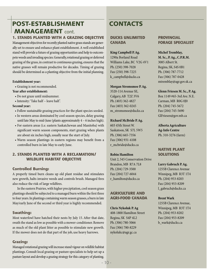# POST-ESTABLISHMENT MANAGEMENT cont.

#### **1. Stands planted with a grazing objective**

Management objectives for recently planted native grass stands are generally set to ensure and enhance plant establishment. A well established stand will provide a future of grazing opportunities and help to outcompete weeds and invading species. Generally, rotational grazing or deferred grazing of the grass, in contrast to continuous grazing, ensures that the native grasses will remain productive for decades. Timing of grazing should be determined as a planting objective from the initial planning.

#### **Establishment year:**

• Grazing is not recommended.

#### **Year after establishment:**

- Do not graze until midsummer.
- Intensity: 'Take half leave half '.

#### **Second year:**

- Follow sustainable grazing practices for the plant species seeded.
- In western areas dominated by cool season species, delay grazing until late May to mid-June (plants approximately 4 – 6 inches high).
- For eastern areas (i.e. eastern Saskatchewan and Manitoba) with significant warm season components, start grazing when plants are about six inches high, usually near the start of July.
- Warm season plantings in eastern regions may benefit from a controlled burn in late May to early June.

#### **2. Stands planted with a reclamation/ wildlife habitat objective**

#### **Controlled Burning:**

A properly timed burn cleans up old plant residue and stimulates new growth, halts invasive weeds and controls brush. Managed fires also reduce the risk of large wildfires.

In the eastern Prairies, with higher precipitation, cool season grass plantings should be subjected to a managed burn within the first three to four years. In plantings containing warm season grasses, a burn in late May/early June of the second or third year is highly recommended.

#### **Swathing:**

Most waterfowl have hatched their nests by July 15. After that date, swath the stand as low as possible with a mower-conditioner. Remove as much of the old plant litter as possible to stimulate new growth. If the mower does not do that part of the job, use heavy harrows.

#### **Grazing:**

Managed rotational grazing will increase stand vigour on wildlife habitat plantings. Consult local grazing or pasture specialists to help set up a pasture layout and develop a grazing strategy for this category of planting.

# **CONTACTS**

#### **DUCKS UNLIMITED CANADA**

#### **King Campbell P. Ag.**

1290a Borland Road Williams Lake, BC V2G 4V1 Ph. (250) 398-7028 Fax (250) 398-7225 k\_campbell@ducks.ca

#### **Morgan Stromsmoe P. Ag.**

3520-114 Avenue SE, Calgary, AB T2Z 3V6 Ph. (403) 362-4827 Fax (403) 362-0245 m\_stromsmoe@ducks.ca

#### **Richard McBride P. Ag.**

603 45th Street W. Saskatoon, SK S7L 5W5 Ph. (306) 665-7356 Fax (306) 931-4108 r\_mcbride@ducks.ca

#### **Robin Hamilton**

Unit 2, 545 Conservation Drive Brandon, MB R7A 7L8 Ph. (204) 729-3500 Fax (204) 727-6044 r\_hamilton@ducks.ca

#### **AGRICULTURE AND AGRI-FOOD CANaDA**

#### **Chris Nykoluk P. Ag**

408-1800 Hamilton Street Regina, SK S4P 4L2 Ph. (306) 780-5066 Fax (306) 780-8229 nykolukc@agr.gc.ca

#### **PROVINCIAL FORAGE SPECIALIST**

#### **Michel Tremblay,**

**M. Sc., P. Ag., C.P.R.M.** 3085 Albert St. Regina, SK, S4S 0B1 Ph. (306) 787-7712 Fax (306) 787-0428 mtremblay@agr.gov.sk.ca

#### **Glenn Friesen M. Sc., P. Ag.**

Box 1149 #65-3rd Ave. N.E. Carman, MB R0G 0J0 Ph. (204) 745-5672 Fax (204) 745-5690 GlFriesen@gov.mb.ca

**Alberta Agriculture Ag-Info Centre** Ph. 310-3276 (farm)

#### **NATIVE PLANT SOLUTIONS**

#### **Larry Gabruch P. Ag.**

1255B Clarence Avenue Winnipeg, MB R3T 1T4 Ph. (204) 953-8203 Fax (204) 953-8209 l\_gabruch@ducks.ca

#### **Brent Wark**

1255B Clarence Avenue, Winnipeg, MB R3T 1T4 Ph. (204) 953-8202 Fax (204) 953-8209 b\_wark@ducks.ca